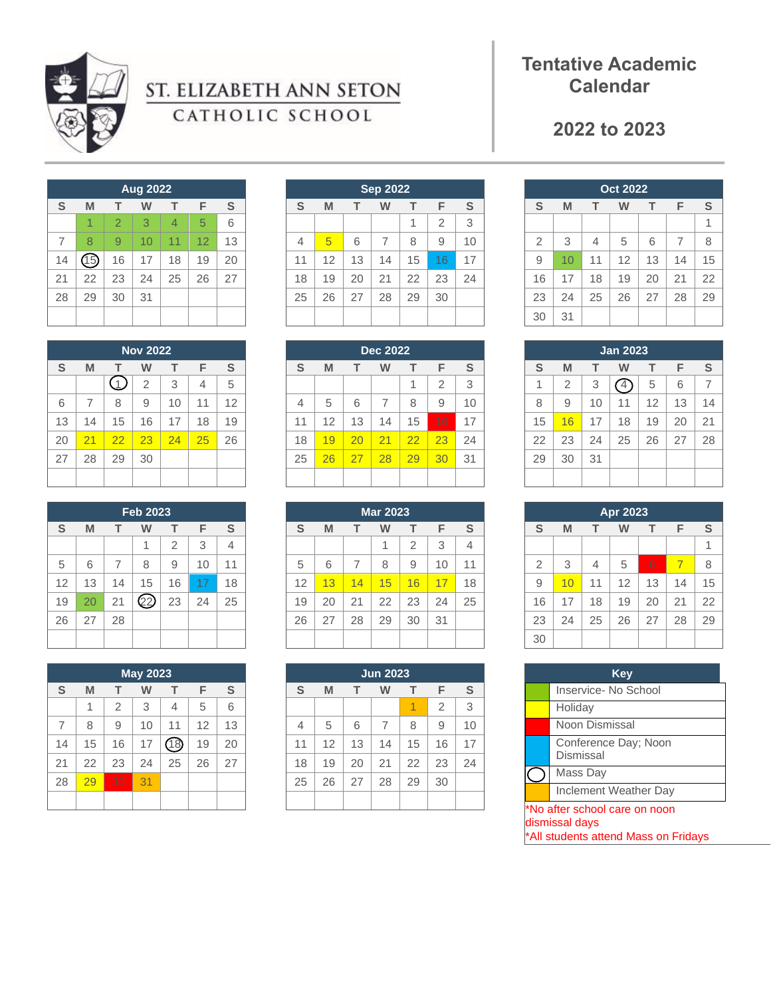

# ST. ELIZABETH ANN SETON CATHOLIC SCHOOL

## **Tentative Academic Calendar**

### **to 2023**

|    |      |    | <b>Aug 2022</b> |                |    |    |
|----|------|----|-----------------|----------------|----|----|
| S  | M    | т  | W               | т              | F  | S  |
|    | 1    | 2  | 3               | $\overline{4}$ | 5  | 6  |
| 7  | 8    | 9  | 10              | 11             | 12 | 13 |
| 14 | (15) | 16 | 17              | 18             | 19 | 20 |
| 21 | 22   | 23 | 24              | 25             | 26 | 27 |
| 28 | 29   | 30 | 31              |                |    |    |
|    |      |    |                 |                |    |    |

|    |                |    | <b>Nov 2022</b> |    |    |    |
|----|----------------|----|-----------------|----|----|----|
| S  | M              | т  | w               | т  | F  | S  |
|    |                |    | $\overline{2}$  | 3  | 4  | 5  |
| 6  | $\overline{7}$ | 8  | 9               | 10 | 11 | 12 |
| 13 | 14             | 15 | 16              | 17 | 18 | 19 |
| 20 | 21             | 22 | 23              | 24 | 25 | 26 |
| 27 | 28             | 29 | 30              |    |    |    |
|    |                |    |                 |    |    |    |

|    |    |    | <b>Feb 2023</b> |                |    |    |
|----|----|----|-----------------|----------------|----|----|
| S  | M  | т  | W               | т              | F  | S  |
|    |    |    | 1               | $\overline{2}$ | 3  | 4  |
| 5  | 6  | 7  | 8               | 9              | 10 | 11 |
| 12 | 13 | 14 | 15              | 16             | 17 | 18 |
| 19 | 20 | 21 | 22              | 23             | 24 | 25 |
| 26 | 27 | 28 |                 |                |    |    |
|    |    |    |                 |                |    |    |

|    |    |                | <b>May 2023</b> |    |    |    |
|----|----|----------------|-----------------|----|----|----|
| S  | M  | т              | W               | т  | F  | S  |
|    | 1  | $\overline{2}$ | 3               | 4  | 5  | 6  |
| 7  | 8  | 9              | 10              | 11 | 12 | 13 |
| 14 | 15 | 16             | 17              | 18 | 19 | 20 |
| 21 | 22 | 23             | 24              | 25 | 26 | 27 |
| 28 | 29 | 30             | 31              |    |    |    |
|    |    |                |                 |    |    |    |

|                |    |    | <b>Sep 2022</b> |    |                |    |
|----------------|----|----|-----------------|----|----------------|----|
| S              | M  | т  | W               | т  | F              | S  |
|                |    |    |                 | 1  | $\overline{2}$ | 3  |
| $\overline{4}$ | 5  | 6  | $\overline{7}$  | 8  | 9              | 10 |
| 11             | 12 | 13 | 14              | 15 | 16             | 17 |
| 18             | 19 | 20 | 21              | 22 | 23             | 24 |
| 25             | 26 | 27 | 28              | 29 | 30             |    |
|                |    |    |                 |    |                |    |

| <b>Dec 2022</b> |    |    |                |    |                |    |
|-----------------|----|----|----------------|----|----------------|----|
| S               | M  | т  | w              | т  | F              | S  |
|                 |    |    |                | 1  | $\overline{2}$ | 3  |
| 4               | 5  | 6  | $\overline{7}$ | 8  | 9              | 10 |
| 11              | 12 | 13 | 14             | 15 | 16             | 17 |
| 18              | 19 | 20 | 21             | 22 | 23             | 24 |
| 25              | 26 | 27 | 28             | 29 | 30             | 31 |
|                 |    |    |                |    |                |    |

|    |    |    | <b>Mar 2023</b> |                |    |    |
|----|----|----|-----------------|----------------|----|----|
| S  | M  | т  | W               | т              | F  | S  |
|    |    |    | 1               | $\overline{2}$ | 3  | 4  |
| 5  | 6  | 7  | 8               | 9              | 10 | 11 |
| 12 | 13 | 14 | 15              | 16             | 17 | 18 |
| 19 | 20 | 21 | 22              | 23             | 24 | 25 |
| 26 | 27 | 28 | 29              | 30             | 31 |    |
|    |    |    |                 |                |    |    |

|    |    |    | <b>Jun 2023</b> |    |                |    |
|----|----|----|-----------------|----|----------------|----|
| S  | M  | т  | W               | т  | F              | S  |
|    |    |    |                 | 1  | $\overline{2}$ | 3  |
| 4  | 5  | 6  | $\overline{7}$  | 8  | 9              | 10 |
| 11 | 12 | 13 | 14              | 15 | 16             | 17 |
| 18 | 19 | 20 | 21              | 22 | 23             | 24 |
| 25 | 26 | 27 | 28              | 29 | 30             |    |
|    |    |    |                 |    |                |    |

|                |    |    | <b>Oct 2022</b> |    |    |    |
|----------------|----|----|-----------------|----|----|----|
| S              | M  | т  | W               | т  | F  | S  |
|                |    |    |                 |    |    | 1  |
| $\overline{2}$ | 3  | 4  | 5               | 6  | 7  | 8  |
| 9              | 10 | 11 | 12              | 13 | 14 | 15 |
| 16             | 17 | 18 | 19              | 20 | 21 | 22 |
| 23             | 24 | 25 | 26              | 27 | 28 | 29 |
| 30             | 31 |    |                 |    |    |    |

|    |    |    | <b>Jan 2023</b> |    |    |    |
|----|----|----|-----------------|----|----|----|
| S  | M  | т  | W               | т  | F  | S  |
| 1  | 2  | 3  |                 | 5  | 6  | 7  |
| 8  | 9  | 10 | 11              | 12 | 13 | 14 |
| 15 | 16 | 17 | 18              | 19 | 20 | 21 |
| 22 | 23 | 24 | 25              | 26 | 27 | 28 |
| 29 | 30 | 31 |                 |    |    |    |
|    |    |    |                 |    |    |    |

|                |    |    | <b>Apr 2023</b> |    |                |    |
|----------------|----|----|-----------------|----|----------------|----|
| S              | M  | т  | w               | т  | F              | S  |
|                |    |    |                 |    |                | 1  |
| $\overline{2}$ | 3  | 4  | 5               | 6  | $\overline{7}$ | 8  |
| 9              | 10 | 11 | 12              | 13 | 14             | 15 |
| 16             | 17 | 18 | 19              | 20 | 21             | 22 |
| 23             | 24 | 25 | 26              | 27 | 28             | 29 |
| 30             |    |    |                 |    |                |    |

| Key                                                                                     |  |  |  |  |
|-----------------------------------------------------------------------------------------|--|--|--|--|
| Inservice- No School                                                                    |  |  |  |  |
| Holiday                                                                                 |  |  |  |  |
| Noon Dismissal                                                                          |  |  |  |  |
| Conference Day; Noon<br>Dismissal                                                       |  |  |  |  |
| Mass Day                                                                                |  |  |  |  |
| <b>Inclement Weather Day</b>                                                            |  |  |  |  |
| *No after school care on noon<br>dismissal days<br>*All students attend Mass on Fridays |  |  |  |  |